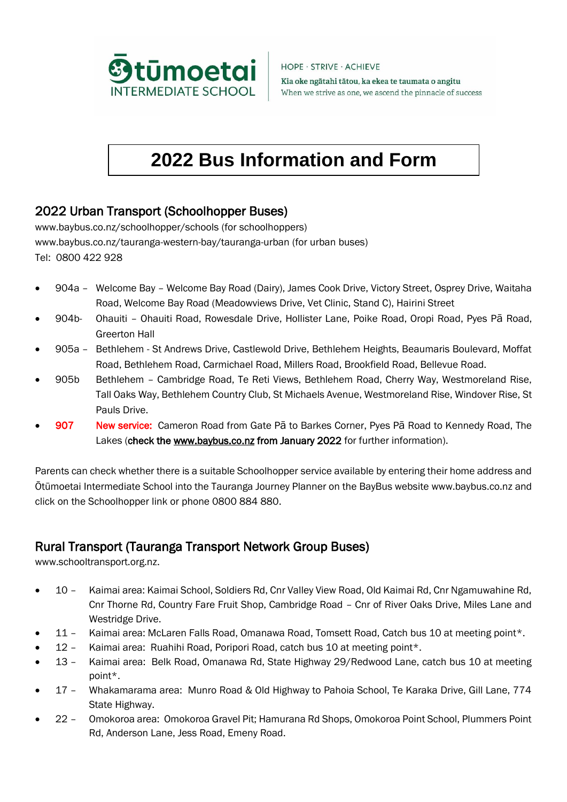

HOPE · STRIVE · ACHIEVE Kia oke ngātahi tātou, ka ekea te taumata o angitu When we strive as one, we ascend the pinnacle of success

# **2022 Bus Information and Form**

## 2022 Urban Transport (Schoolhopper Buses)

[www.baybus.co.nz/schoolhopper/schools](http://www.baybus.co.nz/schoolhopper/schools) (for schoolhoppers) [www.baybus.co.nz/tauranga-western-bay/tauranga-urban](http://www.baybus.co.nz/tauranga-western-bay/tauranga-urban) (for urban buses) Tel: 0800 422 928

- 904a Welcome Bay Welcome Bay Road (Dairy), James Cook Drive, Victory Street, Osprey Drive, Waitaha Road, Welcome Bay Road (Meadowviews Drive, Vet Clinic, Stand C), Hairini Street
- 904b- Ohauiti Ohauiti Road, Rowesdale Drive, Hollister Lane, Poike Road, Oropi Road, Pyes Pā Road, Greerton Hall
- 905a Bethlehem St Andrews Drive, Castlewold Drive, Bethlehem Heights, Beaumaris Boulevard, Moffat Road, Bethlehem Road, Carmichael Road, Millers Road, Brookfield Road, Bellevue Road.
- 905b Bethlehem Cambridge Road, Te Reti Views, Bethlehem Road, Cherry Way, Westmoreland Rise, Tall Oaks Way, Bethlehem Country Club, St Michaels Avenue, Westmoreland Rise, Windover Rise, St Pauls Drive.
- 907 New service: Cameron Road from Gate Pa to Barkes Corner, Pyes Pa Road to Kennedy Road, The Lakes (check the [www.baybus.co.nz](http://www.baybus.co.nz/) from January 2022 for further information).

Parents can check whether there is a suitable Schoolhopper service available by entering their home address and Ōtūmoetai Intermediate School into the Tauranga Journey Planner on the BayBus website [www.baybus.co.nz](http://www.baybus.co.nz/) and click on the Schoolhopper link or phone 0800 884 880.

## Rural Transport (Tauranga Transport Network Group Buses)

[www.schooltransport.org.nz.](http://www.schooltransport.org.nz/)

- 10 Kaimai area: Kaimai School, Soldiers Rd, Cnr Valley View Road, Old Kaimai Rd, Cnr Ngamuwahine Rd, Cnr Thorne Rd, Country Fare Fruit Shop, Cambridge Road – Cnr of River Oaks Drive, Miles Lane and Westridge Drive.
- 11 Kaimai area: McLaren Falls Road, Omanawa Road, Tomsett Road, Catch bus 10 at meeting point\*.
- 12 Kaimai area: Ruahihi Road, Poripori Road, catch bus 10 at meeting point\*.
- 13 Kaimai area: Belk Road, Omanawa Rd, State Highway 29/Redwood Lane, catch bus 10 at meeting point\*.
- 17 Whakamarama area: Munro Road & Old Highway to Pahoia School, Te Karaka Drive, Gill Lane, 774 State Highway.
- 22 Omokoroa area: Omokoroa Gravel Pit; Hamurana Rd Shops, Omokoroa Point School, Plummers Point Rd, Anderson Lane, Jess Road, Emeny Road.